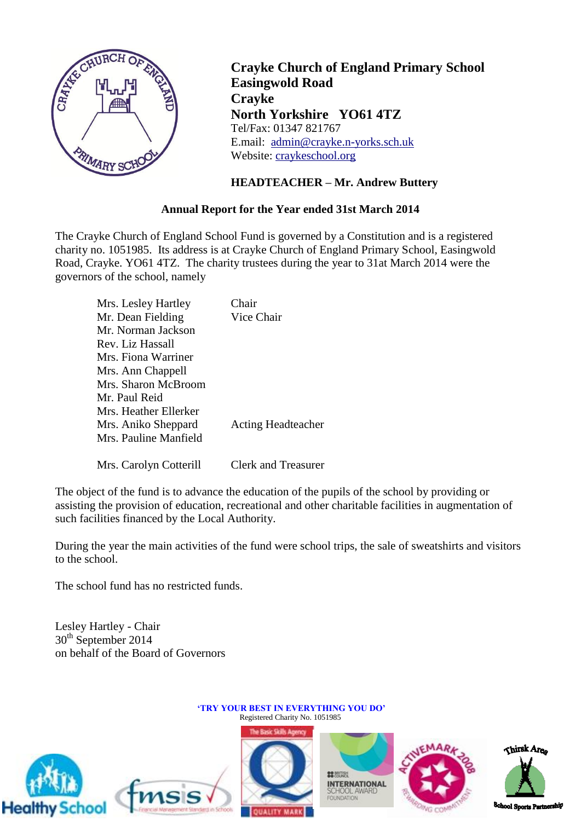

**Crayke Church of England Primary School Easingwold Road Crayke North Yorkshire YO61 4TZ** Tel/Fax: 01347 821767 E.mail: [admin@crayke.n-yorks.sch.uk](mailto:admin@crayke.n-yorks.sch.uk) Website: craykeschool.org

## **HEADTEACHER – Mr. Andrew Buttery**

## **Annual Report for the Year ended 31st March 2014**

The Crayke Church of England School Fund is governed by a Constitution and is a registered charity no. 1051985. Its address is at Crayke Church of England Primary School, Easingwold Road, Crayke. YO61 4TZ. The charity trustees during the year to 31at March 2014 were the governors of the school, namely

| Mrs. Lesley Hartley    | Chair                     |
|------------------------|---------------------------|
| Mr. Dean Fielding      | Vice Chair                |
| Mr. Norman Jackson     |                           |
| Rev. Liz Hassall       |                           |
| Mrs. Fiona Warriner    |                           |
| Mrs. Ann Chappell      |                           |
| Mrs. Sharon McBroom    |                           |
| Mr. Paul Reid          |                           |
| Mrs. Heather Ellerker  |                           |
| Mrs. Aniko Sheppard    | <b>Acting Headteacher</b> |
| Mrs. Pauline Manfield  |                           |
|                        |                           |
| Mrs. Carolyn Cotterill | Clerk and Treasurer       |

The object of the fund is to advance the education of the pupils of the school by providing or assisting the provision of education, recreational and other charitable facilities in augmentation of such facilities financed by the Local Authority.

During the year the main activities of the fund were school trips, the sale of sweatshirts and visitors to the school.

The school fund has no restricted funds.

Lesley Hartley - Chair 30<sup>th</sup> September 2014 on behalf of the Board of Governors

tmsis







**'TRY YOUR BEST IN EVERYTHING YOU DO'** Registered Charity No. 1051985

> **22 MITTEN INTERNATIONAL** SCHOOL AW<br>FOUNDATION